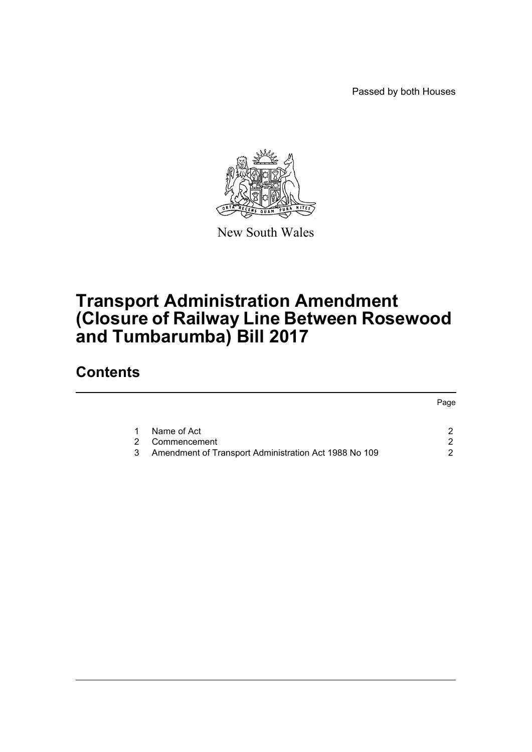Passed by both Houses



New South Wales

## **Transport Administration Amendment (Closure of Railway Line Between Rosewood and Tumbarumba) Bill 2017**

### **Contents**

|                                                       | Page |
|-------------------------------------------------------|------|
| Name of Act                                           |      |
| Commencement                                          | ◠    |
| Amendment of Transport Administration Act 1988 No 109 | ົ    |
|                                                       |      |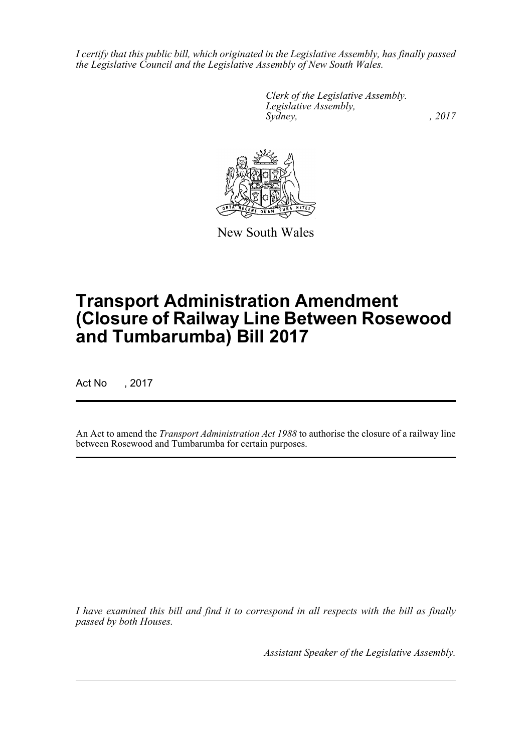*I certify that this public bill, which originated in the Legislative Assembly, has finally passed the Legislative Council and the Legislative Assembly of New South Wales.*

> *Clerk of the Legislative Assembly. Legislative Assembly, Sydney,* , 2017



New South Wales

# **Transport Administration Amendment (Closure of Railway Line Between Rosewood and Tumbarumba) Bill 2017**

Act No , 2017

An Act to amend the *Transport Administration Act 1988* to authorise the closure of a railway line between Rosewood and Tumbarumba for certain purposes.

*I have examined this bill and find it to correspond in all respects with the bill as finally passed by both Houses.*

*Assistant Speaker of the Legislative Assembly.*